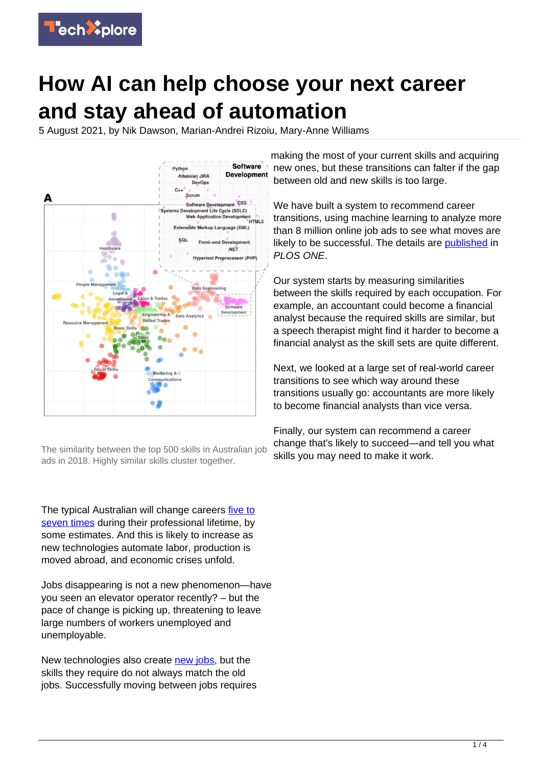

# **How AI can help choose your next career and stay ahead of automation**

5 August 2021, by Nik Dawson, Marian-Andrei Rizoiu, Mary-Anne Williams



The similarity between the top 500 skills in Australian job ads in 2018. Highly similar skills cluster together.

The typical Australian will change careers [five to](https://www.acap.edu.au/blog/update-your-qualifications-or-switch-careers/) [seven times](https://www.acap.edu.au/blog/update-your-qualifications-or-switch-careers/) during their professional lifetime, by some estimates. And this is likely to increase as new technologies automate labor, production is moved abroad, and economic crises unfold.

Jobs disappearing is not a new phenomenon—have you seen an elevator operator recently? – but the pace of change is picking up, threatening to leave large numbers of workers unemployed and unemployable.

New technologies also create [new jobs](https://techxplore.com/tags/new+jobs/), but the skills they require do not always match the old jobs. Successfully moving between jobs requires making the most of your current skills and acquiring new ones, but these transitions can falter if the gap between old and new skills is too large.

We have built a system to recommend career transitions, using machine learning to analyze more than 8 million online job ads to see what moves are likely to be successful. The details are [published](https://journals.plos.org/plosone/article?id=10.1371/journal.pone.0254722) in PLOS ONE.

Our system starts by measuring similarities between the skills required by each occupation. For example, an accountant could become a financial analyst because the required skills are similar, but a speech therapist might find it harder to become a financial analyst as the skill sets are quite different.

Next, we looked at a large set of real-world career transitions to see which way around these transitions usually go: accountants are more likely to become financial analysts than vice versa.

Finally, our system can recommend a career change that's likely to succeed—and tell you what skills you may need to make it work.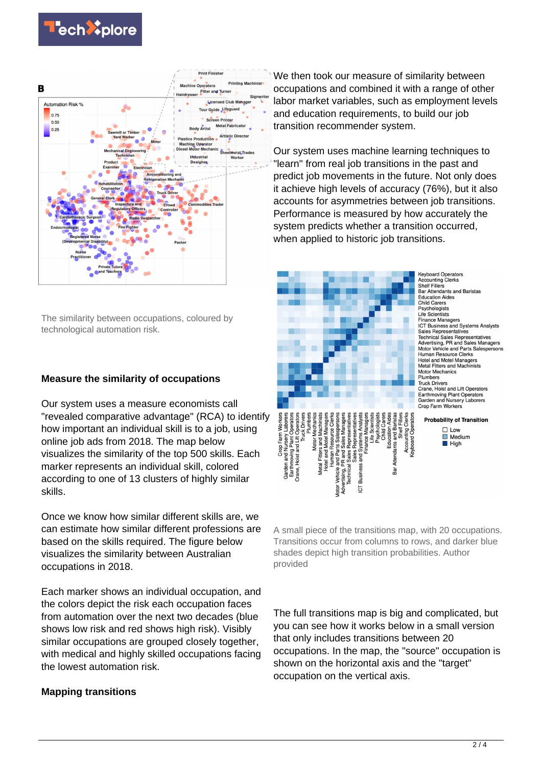



The similarity between occupations, coloured by technological automation risk.

## **Measure the similarity of occupations**

Our system uses a measure economists call "revealed comparative advantage" (RCA) to identify how important an individual skill is to a job, using online job ads from 2018. The map below visualizes the similarity of the top 500 skills. Each marker represents an individual skill, colored according to one of 13 clusters of highly similar skills.

Once we know how similar different skills are, we can estimate how similar different professions are based on the skills required. The figure below visualizes the similarity between Australian occupations in 2018.

Each marker shows an individual occupation, and the colors depict the risk each occupation faces from automation over the next two decades (blue shows low risk and red shows high risk). Visibly similar occupations are grouped closely together, with medical and highly skilled occupations facing the lowest automation risk.

#### **Mapping transitions**

We then took our measure of similarity between occupations and combined it with a range of other labor market variables, such as employment levels and education requirements, to build our job transition recommender system.

Our system uses machine learning techniques to "learn" from real job transitions in the past and predict job movements in the future. Not only does it achieve high levels of accuracy (76%), but it also accounts for asymmetries between job transitions. Performance is measured by how accurately the system predicts whether a transition occurred, when applied to historic job transitions.



**Keyboard Operators Accounting Clerks Recogning Cience**<br>Shelf Fillers<br>Bar Attendants and Baristas **Education Aides** Child Carers Psychologists<br>Life Scientists Ene Scientists<br>Finance Managers **ICT Business and Systems Analysts** Sales Representatives Sales Representatives<br>Technical Sales Representatives<br>Advertising, PR and Sales Managers Motor Vehicle and Parts Salespersons Human Resource Clerks Hotel and Motel Managers<br>Hotel and Motel Managers<br>Metal Fitters and Machinists **Motor Mechanics** Plumbere Truck Drivers<br>Crane, Hoist and Lift Operators Earthmoving Plant Operators<br>Garden and Nursery Laborers Crop Farm Workers

**Probability of Transition**  $\square$  Low  $\Box$  Medium  $\blacksquare$  High

A small piece of the transitions map, with 20 occupations. Transitions occur from columns to rows, and darker blue shades depict high transition probabilities. Author provided

The full transitions map is big and complicated, but you can see how it works below in a small version that only includes transitions between 20 occupations. In the map, the "source" occupation is shown on the horizontal axis and the "target" occupation on the vertical axis.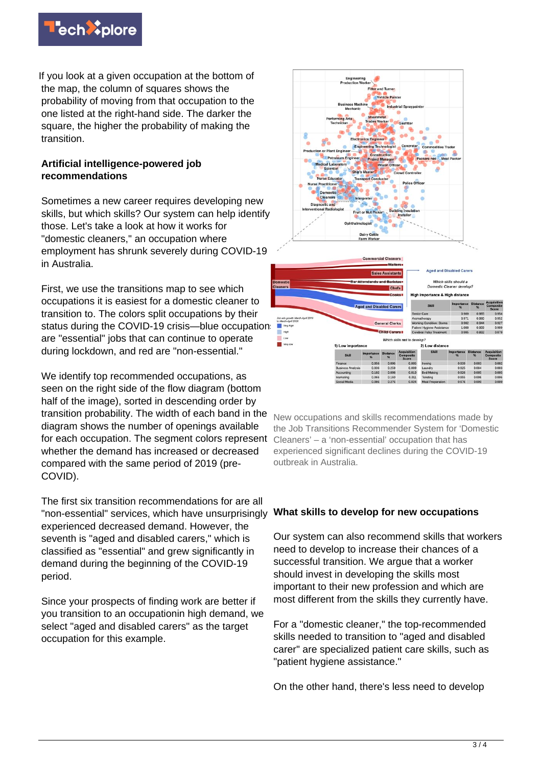

If you look at a given occupation at the bottom of the map, the column of squares shows the probability of moving from that occupation to the one listed at the right-hand side. The darker the square, the higher the probability of making the transition.

## **Artificial intelligence-powered job recommendations**

Sometimes a new career requires developing new skills, but which skills? Our system can help identify those. Let's take a look at how it works for "domestic cleaners," an occupation where employment has shrunk severely during COVID-19 in Australia.

First, we use the transitions map to see which occupations it is easiest for a domestic cleaner to transition to. The colors split occupations by their status during the COVID-19 crisis—blue occupations are "essential" jobs that can continue to operate during lockdown, and red are "non-essential."

We identify top recommended occupations, as seen on the right side of the flow diagram (bottom half of the image), sorted in descending order by transition probability. The width of each band in the diagram shows the number of openings available for each occupation. The segment colors represent whether the demand has increased or decreased compared with the same period of 2019 (pre-COVID).

The first six transition recommendations for are all "non-essential" services, which have unsurprisingly experienced decreased demand. However, the seventh is "aged and disabled carers," which is classified as "essential" and grew significantly in demand during the beginning of the COVID-19 period.

Since your prospects of finding work are better if you transition to an occupationin high demand, we select "aged and disabled carers" as the target occupation for this example.



New occupations and skills recommendations made by the Job Transitions Recommender System for 'Domestic Cleaners' – a 'non-essential' occupation that has experienced significant declines during the COVID-19 outbreak in Australia.

#### **What skills to develop for new occupations**

Our system can also recommend skills that workers need to develop to increase their chances of a successful transition. We argue that a worker should invest in developing the skills most important to their new profession and which are most different from the skills they currently have.

For a "domestic cleaner," the top-recommended skills needed to transition to "aged and disabled carer" are specialized patient care skills, such as "patient hygiene assistance."

On the other hand, there's less need to develop